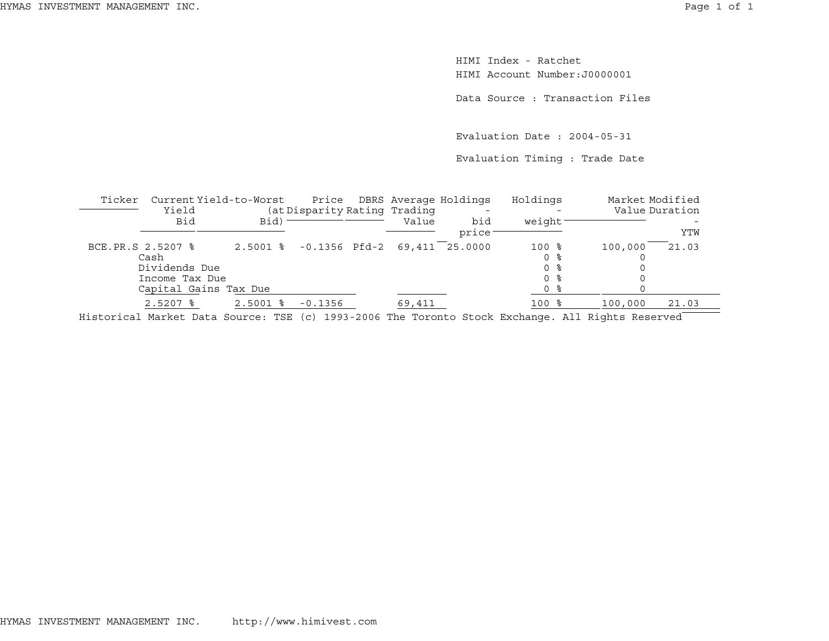HIMI Index - RatchetHIMI Account Number:J0000001

Data Source : Transaction Files

Evaluation Date : 2004-05-31

Evaluation Timing : Trade Date

| Ticker            | Current Yield-to-Worst<br>Yield                                  |                                       | Price<br>(at Disparity Rating Trading |        | DBRS Average Holdings | Holdings                                       | Market Modified | Value Duration |
|-------------------|------------------------------------------------------------------|---------------------------------------|---------------------------------------|--------|-----------------------|------------------------------------------------|-----------------|----------------|
|                   | Bid                                                              | Bid)                                  |                                       | Value  | bid<br>price          | weight                                         |                 | YTW            |
| BCE.PR.S 2.5207 % | Cash<br>Dividends Due<br>Income Tax Due<br>Capital Gains Tax Due | 2.5001 % -0.1356 Pfd-2 69,411 25.0000 |                                       |        |                       | $100$ %<br>0 %<br>0 <sup>8</sup><br>0 %<br>0 % | 100,000         | 21.03          |
|                   | $2.5207$ $\approx$                                               | $2.5001$ $\frac{6}{5}$                | $-0.1356$                             | 69,411 |                       | $100$ %                                        | 100,000         | 21.03          |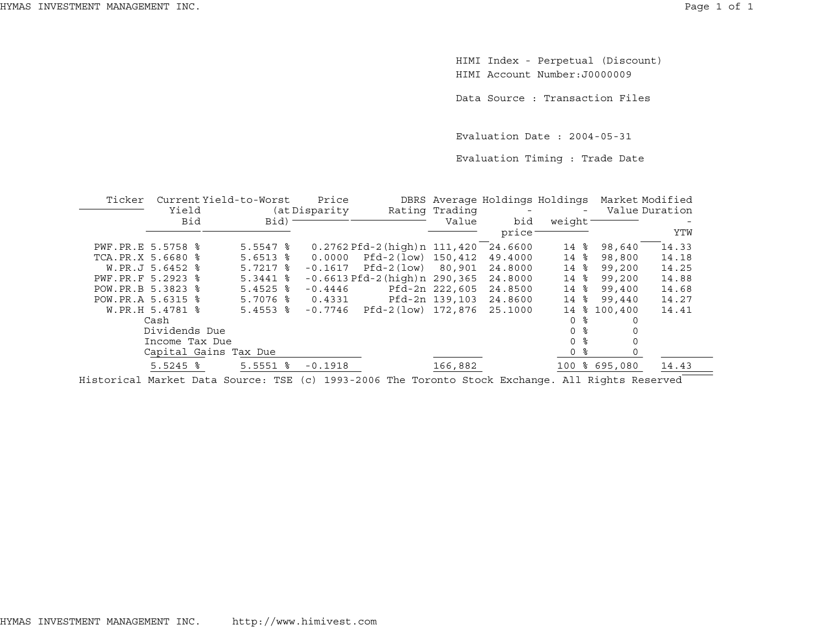HIMI Index - Perpetual (Discount) HIMI Account Number:J0000009

Data Source : Transaction Files

Evaluation Date : 2004-05-31

Evaluation Timing : Trade Date

| Ticker              |                       | Current Yield-to-Worst | Price          |                                       |                | DBRS Average Holdings Holdings |                 | Market Modified |       |
|---------------------|-----------------------|------------------------|----------------|---------------------------------------|----------------|--------------------------------|-----------------|-----------------|-------|
|                     | Yield                 |                        | (at Disparity) |                                       | Rating Trading | $\overline{\phantom{a}}$       | $-$             | Value Duration  |       |
|                     | Bid                   | Bid)                   |                |                                       | Value          | bid                            | weight          |                 |       |
|                     |                       |                        |                |                                       |                | price                          |                 |                 | YTW   |
| PWF.PR.E 5.5758 %   |                       | $5.5547$ $%$           |                | $0.2762$ Pfd-2 (high) n $111,420$     |                | 24.6600                        | $14$ $8$        | 98,640          | 14.33 |
| TCA.PR.X 5.6680 %   |                       | $5.6513$ $%$           | 0.0000         | Pfd-2(low) 150,412                    |                | 49.4000                        | $14$ $8$        | 98,800          | 14.18 |
|                     | W.PR.J 5.6452 %       | $5.7217$ $%$           | $-0.1617$      | Pfd-2(low) 80,901                     |                | 24.8000                        | $14$ $8$        | 99,200          | 14.25 |
| PWF.PR.F 5.2923 %   |                       | $5.3441$ $%$           |                | $-0.6613$ Pfd $-2$ (high) n $290,365$ |                | 24.8000                        | $14$ $8$        | 99,200          | 14.88 |
| POW. PR. B 5.3823 % |                       | $5.4525$ $8$           | $-0.4446$      |                                       | Pfd-2n 222,605 | 24.8500                        | $14 \text{ }$ % | 99,400          | 14.68 |
| POW. PR.A 5.6315 %  |                       | $5.7076$ $\frac{6}{5}$ | 0.4331         |                                       | Pfd-2n 139,103 | 24.8600                        | $14$ $8$        | 99,440          | 14.27 |
|                     | W.PR.H 5.4781 %       | $5.4553$ $\frac{8}{3}$ | $-0.7746$      | Pfd-2(low) 172,876                    |                | 25.1000                        | 14<br>ႜႜ        | 100,400         | 14.41 |
|                     | Cash                  |                        |                |                                       |                |                                | 0 %             | 0               |       |
|                     | Dividends Due         |                        |                |                                       |                |                                | 0 <sup>8</sup>  |                 |       |
|                     | Income Tax Due        |                        |                |                                       |                |                                | 0 %             |                 |       |
|                     | Capital Gains Tax Due |                        |                |                                       |                |                                | 0 %             |                 |       |
|                     | $5.5245$ %            | $5.5551$ $\frac{8}{3}$ | $-0.1918$      |                                       | 166,882        |                                |                 | 100 % 695,080   | 14.43 |
|                     |                       |                        |                |                                       |                |                                |                 |                 |       |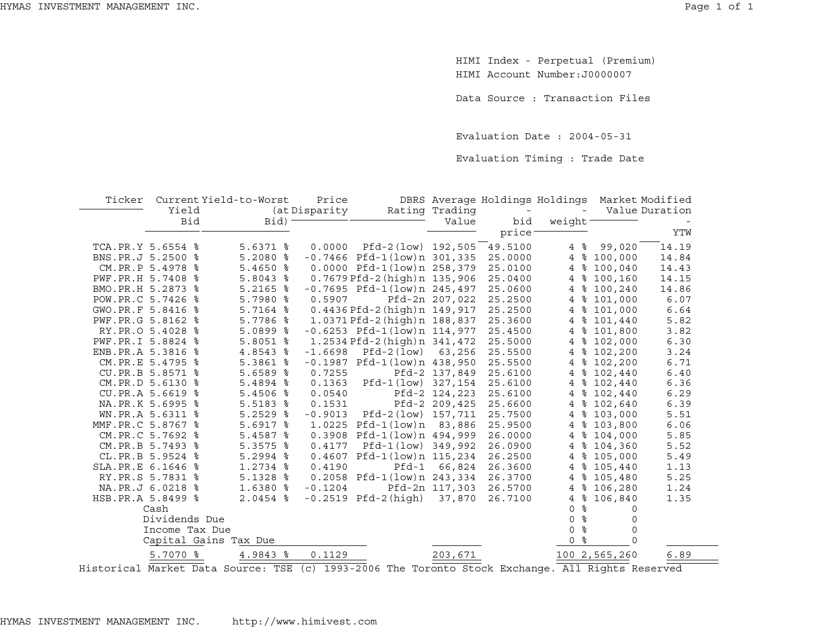HIMI Index - Perpetual (Premium) HIMI Account Number:J0000007

Data Source : Transaction Files

Evaluation Date : 2004-05-31

Evaluation Timing : Trade Date

| Ticker            |                  | Current Yield-to-Worst | Price         |                                   |                |                          | DBRS Average Holdings Holdings |               | Market Modified |
|-------------------|------------------|------------------------|---------------|-----------------------------------|----------------|--------------------------|--------------------------------|---------------|-----------------|
|                   | Yield            |                        | (at Disparity |                                   | Rating Trading | $\overline{\phantom{a}}$ |                                |               | Value Duration  |
|                   | <b>Bid</b>       | Bid)                   |               |                                   | Value          | bid                      | weight                         |               |                 |
|                   |                  |                        |               |                                   |                | price <sup>®</sup>       |                                |               | YTW             |
| TCA.PR.Y 5.6554 % |                  | $5.6371$ %             | 0.0000        | Pfd-2(low) 192,505                |                | 49.5100                  | 4%                             | 99,020        | 14.19           |
| BNS.PR.J 5.2500 % |                  | $5.2080$ %             |               | $-0.7466$ Pfd-1(low)n 301,335     |                | 25.0000                  | ွေ<br>$\overline{4}$           | 100,000       | 14.84           |
|                   | CM.PR.P 5.4978 % | $5.4650$ %             |               | 0.0000 Pfd-1(low)n 258,379        |                | 25.0100                  | နွ<br>$\overline{4}$           | 100,040       | 14.43           |
| PWF.PR.H 5.7408 % |                  | $5.8043$ %             |               | 0.7679 Pfd-2 (high) n 135,906     |                | 25.0400                  | နွ<br>4                        | 100,160       | 14.15           |
| BMO.PR.H 5.2873 % |                  | $5.2165$ %             |               | $-0.7695$ Pfd $-1$ (low)n 245,497 |                | 25.0600                  | 4                              | \$100, 240    | 14.86           |
| POW.PR.C 5.7426 % |                  | 5.7980 %               | 0.5907        |                                   | Pfd-2n 207,022 | 25.2500                  | $\overline{4}$                 | \$101,000     | 6.07            |
| GWO.PR.F 5.8416 % |                  | 5.7164 %               |               | $0.4436$ Pfd-2 (high) n $149,917$ |                | 25.2500                  | 4                              | \$101,000     | 6.64            |
| PWF.PR.G 5.8162 % |                  | $5.7786$ %             |               | 1.0371 Pfd-2(high)n 188,837       |                | 25.3600                  | ႜ<br>4                         | 101,440       | 5.82            |
|                   | RY.PR.O 5.4028 % | $5.0899$ %             |               | $-0.6253$ Pfd-1(low)n 114,977     |                | 25.4500                  | $\overline{4}$                 | \$101,800     | 3.82            |
| PWF.PR.I 5.8824 % |                  | $5.8051$ %             |               | 1.2534 Pfd-2 (high) n 341,472     |                | 25.5000                  | 4                              | \$102,000     | 6.30            |
| ENB.PR.A 5.3816   | နွ               | 4.8543 %               | $-1.6698$     | Pfd-2(low)                        | 63,256         | 25.5500                  | 4                              | \$102,200     | 3.24            |
|                   | CM.PR.E 5.4795 % | 5.3861 %               | $-0.1987$     | Pfd-1(low)n 438,950               |                | 25.5500                  |                                | 4 % 102,200   | 6.71            |
|                   | CU.PR.B 5.8571 % | $5.6589$ $8$           | 0.7255        |                                   | Pfd-2 137,849  | 25.6100                  | 4                              | \$102,440     | 6.40            |
|                   | CM.PR.D 5.6130 % | 5.4894 %               | 0.1363        | Pfd-1(low) 327,154                |                | 25.6100                  | 4                              | \$102,440     | 6.36            |
|                   | CU.PR.A 5.6619 % | $5.4506$ %             | 0.0540        |                                   | Pfd-2 124,223  | 25.6100                  | $\overline{4}$                 | \$102,440     | 6.29            |
|                   | NA.PR.K 5.6995 % | $5.5183$ %             | 0.1531        |                                   | Pfd-2 209,425  | 25.6600                  | 4                              | \$102,640     | 6.39            |
|                   | WN.PR.A 5.6311 % | $5.2529$ $%$           | $-0.9013$     | Pfd-2(low) 157,711                |                | 25.7500                  | $\overline{4}$                 | \$103,000     | 5.51            |
| MMF.PR.C 5.8767 % |                  | $5.6917$ %             | 1.0225        | Pfd-1(low)n 83,886                |                | 25.9500                  | 4                              | \$103,800     | 6.06            |
|                   | CM.PR.C 5.7692 % | $5.4587$ %             | 0.3908        | Pfd-1(low)n 494,999               |                | 26.0000                  | $\overline{4}$                 | \$104,000     | 5.85            |
|                   | CM.PR.B 5.7493 % | 5.3575 %               | 0.4177        | Pfd-1(low) 349,992                |                | 26.0900                  | $\overline{4}$                 | \$104,360     | 5.52            |
|                   | CL.PR.B 5.9524 % | $5.2994$ %             | 0.4607        | Pfd-1(low)n 115,234               |                | 26.2500                  |                                | 4 % 105,000   | 5.49            |
| SLA.PR.E 6.1646 % |                  | $1.2734$ %             | 0.4190        | $Pfd-1$                           | 66,824         | 26.3600                  |                                | 4 % 105,440   | 1.13            |
|                   | RY.PR.S 5.7831 % | $5.1328$ %             |               | 0.2058 Pfd-1(low)n 243,334        |                | 26.3700                  | 4                              | \$105,480     | 5.25            |
|                   | NA.PR.J 6.0218 % | 1.6380 %               | $-0.1204$     |                                   | Pfd-2n 117,303 | 26.5700                  | 4                              | \$106.280     | 1.24            |
| HSB.PR.A 5.8499 % |                  | $2.0454$ %             |               | $-0.2519$ Pfd $-2$ (high)         | 37,870         | 26.7100                  | $\overline{4}$                 | \$106,840     | 1.35            |
|                   | Cash             |                        |               |                                   |                |                          | ႜ<br>$\Omega$                  | $\Omega$      |                 |
|                   | Dividends Due    |                        |               |                                   |                |                          | ್ಠಿ<br>0                       | 0             |                 |
|                   | Income Tax Due   |                        |               |                                   |                |                          | နွ<br>0                        | $\circ$       |                 |
|                   |                  | Capital Gains Tax Due  |               |                                   |                |                          | ್ಠಿ<br>0                       | $\Omega$      |                 |
|                   | 5.7070 %         | 4.9843 %               | 0.1129        |                                   | 203,671        |                          |                                | 100 2,565,260 | 6.89            |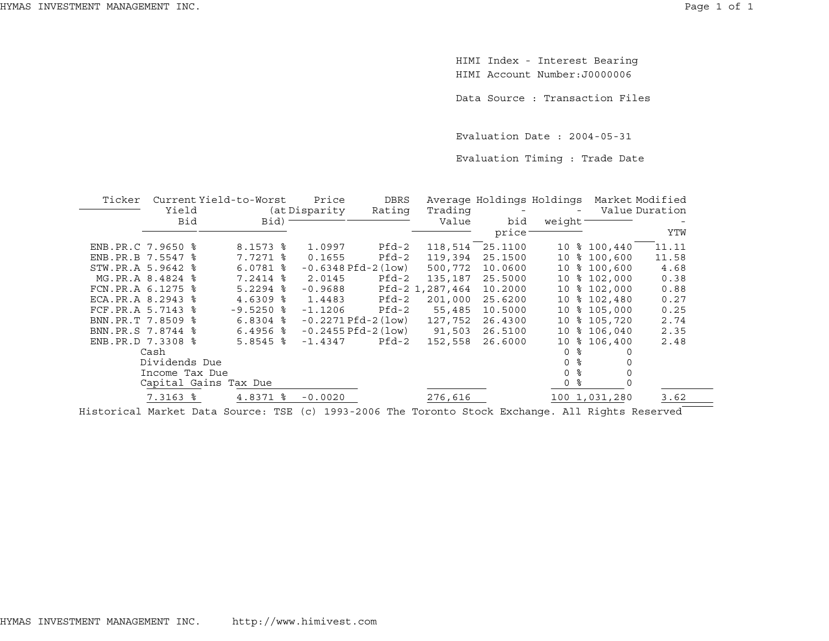HIMI Index - Interest Bearing HIMI Account Number:J0000006

Data Source : Transaction Files

Evaluation Date : 2004-05-31

Evaluation Timing : Trade Date

| Ticker            |                        | Current Yield-to-Worst |  | Price                    | <b>DBRS</b> |                 | Average Holdings Holdings |                 |               | Market Modified |
|-------------------|------------------------|------------------------|--|--------------------------|-------------|-----------------|---------------------------|-----------------|---------------|-----------------|
|                   |                        | Yield                  |  | (at Disparity)<br>Rating |             | Trading         |                           |                 |               | Value Duration  |
|                   | Bid                    | Bid)                   |  |                          |             | Value           | bid                       | weight          |               |                 |
|                   |                        |                        |  |                          |             |                 | price <sup>-</sup>        |                 |               | YTW             |
| ENB.PR.C 7.9650 % |                        | $8.1573$ $\frac{6}{5}$ |  | 1.0997                   | $Pfd-2$     | 118,514         | 25.1100                   | 10              | \$100,440     | 11.11           |
| ENB.PR.B 7.5547 % |                        | 7.7271 %               |  | 0.1655                   | $Pfd-2$     | 119,394         | 25.1500                   | 10 <sub>1</sub> | \$100.600     | 11.58           |
| STW.PR.A 5.9642 % |                        | $6.0781$ %             |  | $-0.6348$ Pfd $-2$ (low) |             | 500,772         | 10.0600                   |                 | 10 % 100,600  | 4.68            |
|                   | MG.PR.A 8.4824 %       | 7.2414 %               |  | 2.0145                   | Pfd-2       | 135,187         | 25.5000                   | 10              | \$102,000     | 0.38            |
| FCN.PR.A 6.1275   | ႜ                      | $5.2294$ %             |  | $-0.9688$                |             | Pfd-2 1,287,464 | 10.2000                   | 10              | \$102,000     | 0.88            |
| ECA.PR.A 8.2943   | ္ဂ                     | $4.6309$ %             |  | 1.4483                   | $Pfd-2$     | 201,000         | 25.6200                   | 10              | \$102,480     | 0.27            |
| FCF.PR.A 5.7143 % |                        | $-9.5250$ %            |  | $-1.1206$                | $Pfd-2$     | 55,485          | 10.5000                   | 10              | \$105,000     | 0.25            |
| BNN.PR.T 7.8509 % |                        | $6.8304$ %             |  | $-0.2271$ Pfd $-2$ (low) |             | 127,752         | 26.4300                   | 10              | \$105.720     | 2.74            |
| BNN.PR.S 7.8744 % |                        | $6.4956$ 8             |  | $-0.2455$ Pfd $-2$ (low) |             | 91,503          | 26.5100                   | 10 <sub>1</sub> | \$106,040     | 2.35            |
| ENB.PR.D 7.3308 % |                        | $5.8545$ %             |  | $-1.4347$                | Pfd-2       | 152,558         | 26.6000                   | 10              | \$106,400     | 2.48            |
|                   | Cash                   |                        |  |                          |             |                 |                           | $\Omega$        | °             |                 |
|                   | Dividends Due          |                        |  |                          |             |                 |                           | $\Omega$        | နွ            |                 |
|                   | Income Tax Due         |                        |  |                          |             |                 |                           | $\Omega$        | နွ            |                 |
|                   |                        | Capital Gains Tax Due  |  |                          |             |                 |                           | ႜ<br>$\circ$    |               |                 |
|                   | $7.3163$ $\frac{6}{5}$ | 4.8371 %               |  | $-0.0020$                |             | 276,616         |                           |                 | 100 1,031,280 | 3.62            |
|                   |                        |                        |  |                          |             |                 |                           |                 |               |                 |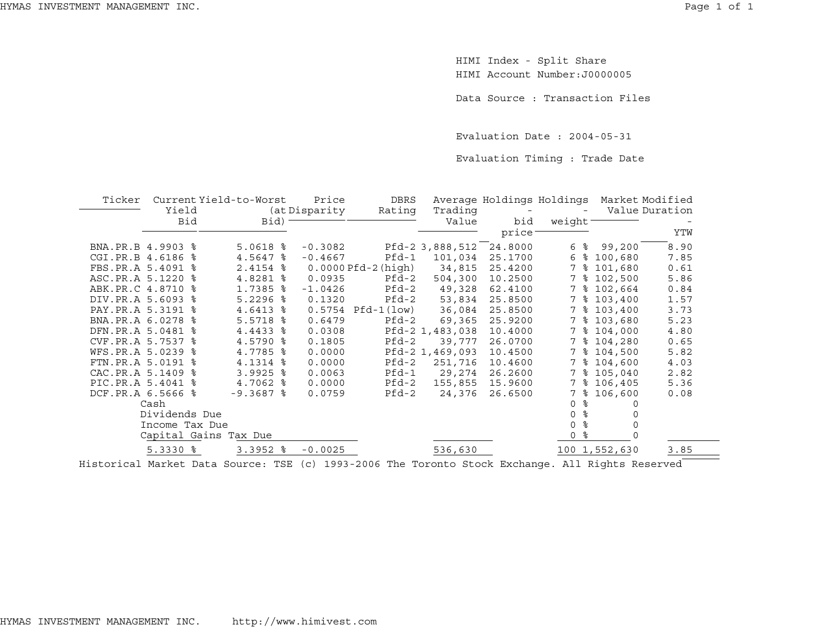$\overline{a}$ 

HIMI Index - Split Share HIMI Account Number:J0000005

Data Source : Transaction Files

Evaluation Date : 2004-05-31

Evaluation Timing : Trade Date

| Ticker            |                   | Current Yield-to-Worst | Price         | DBRS                |                 | Average Holdings Holdings |                     |               | Market Modified |
|-------------------|-------------------|------------------------|---------------|---------------------|-----------------|---------------------------|---------------------|---------------|-----------------|
|                   | Yield             |                        | (at Disparity | Rating              | Trading         |                           |                     |               | Value Duration  |
|                   | Bid               | Bid)                   |               |                     | Value           | bid                       | weight <sup>-</sup> |               |                 |
|                   |                   |                        |               |                     |                 | price                     |                     |               | YTW             |
| BNA.PR.B 4.9903 % |                   | $5.0618$ %             | $-0.3082$     |                     | Pfd-2 3,888,512 | 24.8000                   | ႜ<br>6              | 99,200        | 8.90            |
| CGI.PR.B 4.6186 % |                   | 4.5647<br>ႜ            | $-0.4667$     | $Pfd-1$             | 101,034         | 25.1700                   | 6<br>ႜ              | 100,680       | 7.85            |
|                   | FBS.PR.A 5.4091 % | 2.4154 %               |               | $0.0000Pfd-2(high)$ | 34,815          | 25.4200                   | 7<br>ႜ              | 101,680       | 0.61            |
| ASC.PR.A 5.1220 % |                   | 4.8281 %               | 0.0935        | Pfd-2               | 504,300         | 10.2500                   | 7                   | \$102,500     | 5.86            |
| ABK.PR.C 4.8710 % |                   | 1.7385 %               | $-1.0426$     | $Pfd-2$             | 49,328          | 62.4100                   | 7                   | \$102,664     | 0.84            |
| DIV.PR.A 5.6093 % |                   | $5.2296$ %             | 0.1320        | $Pfd-2$             | 53,834          | 25.8500                   | 7                   | \$103,400     | 1.57            |
| PAY.PR.A 5.3191 % |                   | 4.6413<br>ႜ            | 0.5754        | $Pfd-1 (low)$       | 36,084          | 25.8500                   | 7                   | \$103,400     | 3.73            |
| BNA.PR.A 6.0278 % |                   | $5.5718$ %             | 0.6479        | $Pfd-2$             | 69,365          | 25.9200                   | 7                   | \$103,680     | 5.23            |
| DFN.PR.A 5.0481 % |                   | 4.4433<br>ႜ            | 0.0308        |                     | Pfd-2 1,483,038 | 10.4000                   | 7                   | \$104,000     | 4.80            |
| CVF.PR.A 5.7537 % |                   | 4.5790 %               | 0.1805        | $Pfd-2$             | 39,777          | 26.0700                   | 7                   | \$104,280     | 0.65            |
| WFS.PR.A 5.0239 % |                   | 4.7785 %               | 0.0000        |                     | Pfd-2 1,469,093 | 10.4500                   | 7                   | \$104,500     | 5.82            |
| FTN.PR.A 5.0191 % |                   | 4.1314 %               | 0.0000        | $Pfd-2$             | 251,716         | 10.4600                   | 7                   | \$104,600     | 4.03            |
| CAC.PR.A 5.1409 % |                   | $3.9925$ $%$           | 0.0063        | $Pfd-1$             | 29,274          | 26.2600                   | 7                   | \$105,040     | 2.82            |
| PIC.PR.A 5.4041 % |                   | 4.7062 %               | 0.0000        | $Pfd-2$             | 155,855         | 15.9600                   | 7                   | \$106,405     | 5.36            |
| DCF.PR.A 6.5666 % |                   | $-9.3687$ &            | 0.0759        | $Pfd-2$             | 24,376          | 26.6500                   | 7                   | \$106,600     | 0.08            |
|                   | Cash              |                        |               |                     |                 |                           | ⊱<br>$\Omega$       |               |                 |
|                   | Dividends Due     |                        |               |                     |                 |                           | ⊱<br>$\Omega$       |               |                 |
|                   | Income Tax Due    |                        |               |                     |                 |                           | နွ<br>$\Omega$      |               |                 |
|                   |                   | Capital Gains Tax Due  |               |                     |                 |                           | ႜ<br>0              |               |                 |
|                   | $5.3330$ $8$      | $3.3952$ $8$           | $-0.0025$     |                     | 536,630         |                           |                     | 100 1,552,630 | 3.85            |
|                   |                   |                        |               |                     |                 |                           |                     |               |                 |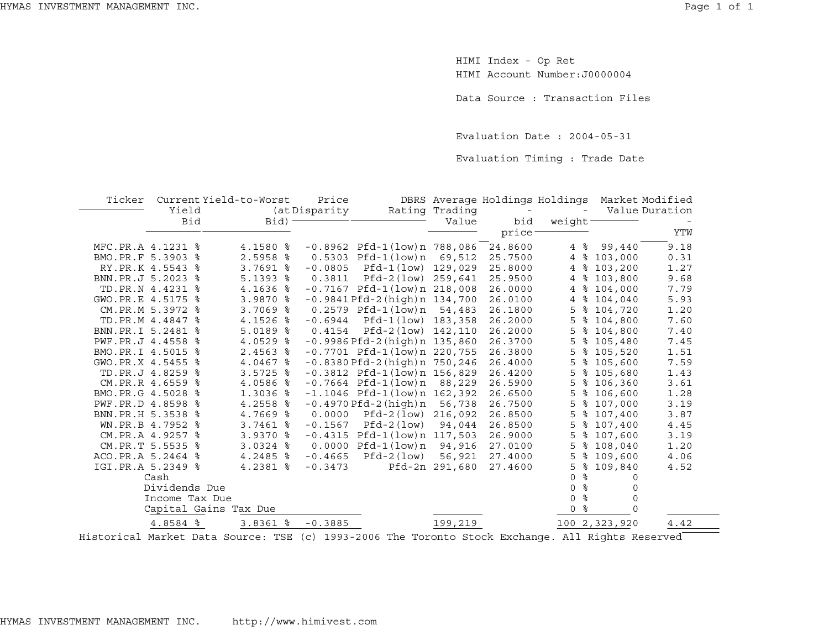HIMI Index - Op Ret HIMI Account Number:J0000004

Data Source : Transaction Files

Evaluation Date : 2004-05-31

Evaluation Timing : Trade Date

| Ticker                | Current Yield-to-Worst | Price           |                                       |                | DBRS Average Holdings Holdings |                          |               | Market Modified |
|-----------------------|------------------------|-----------------|---------------------------------------|----------------|--------------------------------|--------------------------|---------------|-----------------|
| Yield                 |                        | (at Disparity   |                                       | Rating Trading |                                | $\overline{\phantom{0}}$ |               | Value Duration  |
| Bid                   | $Bid)$ =               |                 |                                       | Value          | bid                            | weight $-$               |               |                 |
|                       |                        |                 |                                       |                | price                          |                          |               | YTW             |
| MFC.PR.A 4.1231 %     | 4.1580 %               |                 | $-0.8962$ Pfd $-1$ (low)n 788,086     |                | 24.8600                        | $4\degree$               | 99,440        | 9.18            |
| BMO.PR.F 5.3903 %     | 2.5958 %               |                 | 0.5303 Pfd-1(low)n                    | 69,512         | 25.7500                        | $\overline{4}$           | \$103,000     | 0.31            |
| RY.PR.K 4.5543 %      | $3.7691$ %             | $-0.0805$       | Pfd-1(low) 129,029                    |                | 25.8000                        | $\overline{4}$           | \$103,200     | 1.27            |
| BNN.PR.J 5.2023 %     | $5.1393$ $8$           |                 | $0.3811$ Pfd-2(low) 259,641           |                | 25.9500                        | ႜ<br>4                   | 103,800       | 9.68            |
| TD.PR.N 4.4231 %      | 4.1636 %               |                 | $-0.7167$ Pfd $-1$ (low)n 218,008     |                | 26.0000                        | $\overline{4}$           | \$104,000     | 7.79            |
| GWO.PR.E 4.5175 %     | 3.9870 %               |                 | $-0.9841Pfd-2(hiqh)n 134,700$         |                | 26.0100                        | 4                        | \$104,040     | 5.93            |
| CM.PR.M 5.3972 %      | 3.7069 %               |                 | 0.2579 Pfd-1(low)n 54,483             |                | 26.1800                        | 5                        | \$104,720     | 1.20            |
| TD.PR.M 4.4847 %      | 4.1526 %               |                 | $-0.6944$ Pfd-1(low) 183,358          |                | 26.2000                        | 5                        | \$104,800     | 7.60            |
| BNN.PR.I 5.2481 %     | $5.0189$ %             | 0.4154          | Pfd-2(low) 142,110                    |                | 26.2000                        | 5                        | \$104,800     | 7.40            |
| PWF.PR.J 4.4558 %     | $4.0529$ %             |                 | $-0.9986$ Pfd $-2$ (high) n $135,860$ |                | 26.3700                        | 5                        | \$105,480     | 7.45            |
| BMO.PR.I 4.5015 %     | $2.4563$ $8$           |                 | $-0.7701$ Pfd-1(low)n 220,755         |                | 26.3800                        | 5                        | \$105,520     | 1.51            |
| GWO.PR.X 4.5455 %     | 4.0467 %               |                 | $-0.8380$ Pfd $-2$ (high) n $750,246$ |                | 26.4000                        | 5                        | \$105,600     | 7.59            |
| TD.PR.J 4.8259 %      | $3.5725$ $%$           |                 | $-0.3812$ Pfd $-1$ (low)n 156,829     |                | 26.4200                        | 5                        | \$105,680     | 1.43            |
| CM.PR.R 4.6559 %      | 4.0586 %               |                 | $-0.7664$ Pfd $-1$ (low)n 88,229      |                | 26.5900                        | 5                        | \$106,360     | 3.61            |
| BMO.PR.G 4.5028 %     | 1.3036 %               |                 | $-1.1046$ Pfd $-1$ (low)n 162,392     |                | 26.6500                        | 5                        | \$106,600     | 1.28            |
| PWF.PR.D 4.8598 %     | 4.2558 %               |                 | $-0.4970$ Pfd $-2$ (high) n           | 56,738         | 26.7500                        | 5                        | \$107,000     | 3.19            |
| BNN.PR.H 5.3538 %     | 4.7669 %               | 0.0000          | Pfd-2(low) 216,092                    |                | 26.8500                        | 5                        | \$107,400     | 3.87            |
| WN.PR.B 4.7952 %      | $3.7461$ %             |                 | $-0.1567$ Pfd $-2(1ow)$               | 94,044         | 26.8500                        | 5                        | \$107,400     | 4.45            |
| CM.PR.A 4.9257 %      | 3.9370 %               |                 | $-0.4315$ Pfd $-1$ (low)n 117,503     |                | 26.9000                        | 5                        | \$107,600     | 3.19            |
| CM.PR.T 5.5535 %      | $3.0324$ %             |                 | $0.0000$ Pfd-1 $(low)$ n              | 94,916         | 27.0100                        | 5                        | \$108,040     | 1.20            |
| ACO.PR.A 5.2464 %     | $4.2485$ %             | $-0.4665$       | Pfd-2(low)                            | 56,921         | 27.4000                        | 5                        | \$109,600     | 4.06            |
| IGI.PR.A 5.2349 %     | 4.2381 %               | $-0.3473$       |                                       | Pfd-2n 291,680 | 27.4600                        | ಿ<br>5                   | 109,840       | 4.52            |
| Cash                  |                        |                 |                                       |                |                                | $\Omega$<br>⊱            | $\Omega$      |                 |
| Dividends Due         |                        |                 |                                       |                |                                | ್ಯ<br>$\Omega$           | 0             |                 |
| Income Tax Due        |                        |                 |                                       |                |                                | နွ<br>$\Omega$           | $\mathbf 0$   |                 |
| Capital Gains Tax Due |                        |                 |                                       |                |                                | ಿ<br>0                   | $\Omega$      |                 |
| 4.8584 %              | $3.8361$ %             | $-0.3885$       |                                       | 199,219        |                                |                          | 100 2,323,920 | 4.42            |
|                       |                        | ___ _ _ _ _ _ _ |                                       |                |                                | --- - - -                |               |                 |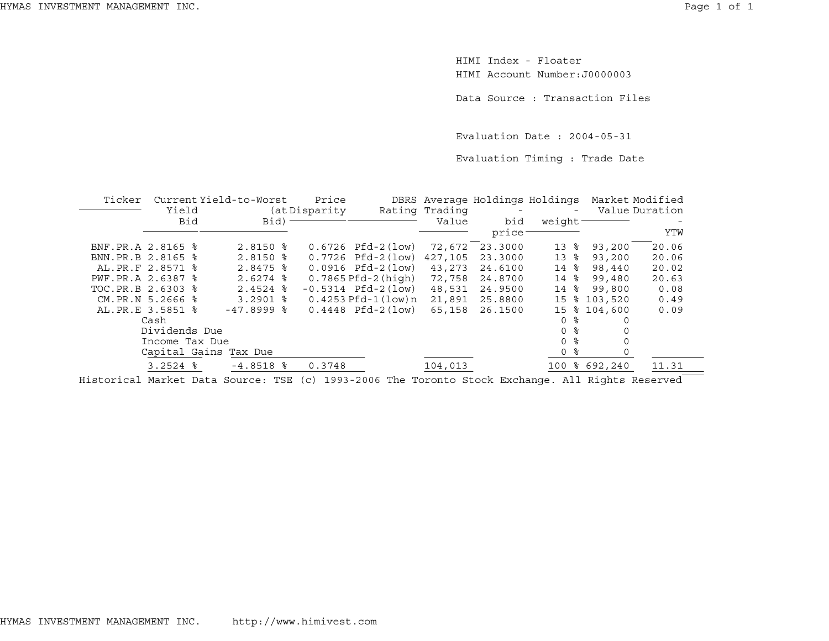HIMI Index - FloaterHIMI Account Number:J0000003

Data Source : Transaction Files

Evaluation Date : 2004-05-31

Evaluation Timing : Trade Date

| Ticker             |                | Current Yield-to-Worst | Price          |                          |                | DBRS Average Holdings Holdings |                 | Market Modified |                |
|--------------------|----------------|------------------------|----------------|--------------------------|----------------|--------------------------------|-----------------|-----------------|----------------|
|                    | Yield          |                        | (at Disparity) |                          | Rating Trading |                                |                 |                 | Value Duration |
|                    | Bid            | Bid)                   |                |                          | Value          | bid                            | weight          |                 |                |
|                    |                |                        |                |                          |                | price                          |                 |                 | YTW            |
| BNF.PR.A 2.8165 %  |                | $2.8150$ %             |                | $0.6726$ Pfd-2 $(low)$   | 72,672         | 23.3000                        | 13<br>ႜ         | 93,200          | 20.06          |
| BNN.PR.B 2.8165 %  |                | $2.8150$ %             |                | $0.7726$ Pfd-2 $(low)$   | 427,105        | 23.3000                        | 13<br>ႜ         | 93,200          | 20.06          |
| AL. PR. F 2.8571 % |                | $2.8475$ $\frac{6}{5}$ |                | $0.0916$ Pfd-2 $(low)$   | 43,273         | 24.6100                        | $14 \text{ }$ % | 98,440          | 20.02          |
| PWF.PR.A 2.6387 %  |                | $2.6274$ $\approx$     |                | $0.7865$ Pfd-2 (high)    | 72,758         | 24.8700                        | 14<br>ႜ         | 99,480          | 20.63          |
| TOC.PR.B 2.6303 %  |                | $2.4524$ $%$           |                | $-0.5314$ Pfd $-2$ (low) | 48,531         | 24.9500                        | ႜ<br>14         | 99,800          | 0.08           |
| CM.PR.N 5.2666 %   |                | $3.2901$ $\frac{6}{5}$ |                | $0.4253$ Pfd-1(low)n     | 21,891         | 25.8800                        | 15              | \$103,520       | 0.49           |
| AL. PR.E 3.5851 %  |                | $-47.8999$ $8$         |                | $0.4448$ Pfd-2 $(low)$   | 65,158         | 26.1500                        | 15              | \$104,600       | 0.09           |
|                    | Cash           |                        |                |                          |                |                                | ু<br>$\Omega$   |                 |                |
|                    | Dividends Due  |                        |                |                          |                |                                | ႜ<br>$\Omega$   |                 |                |
|                    | Income Tax Due |                        |                |                          |                |                                | ႜ<br>$\Omega$   |                 |                |
|                    |                | Capital Gains Tax Due  |                |                          |                |                                | 0 %             |                 |                |
|                    | $3.2524$ $%$   | $-4.8518$ %            | 0.3748         |                          | 104,013        |                                |                 | 100 % 692,240   | 11.31          |